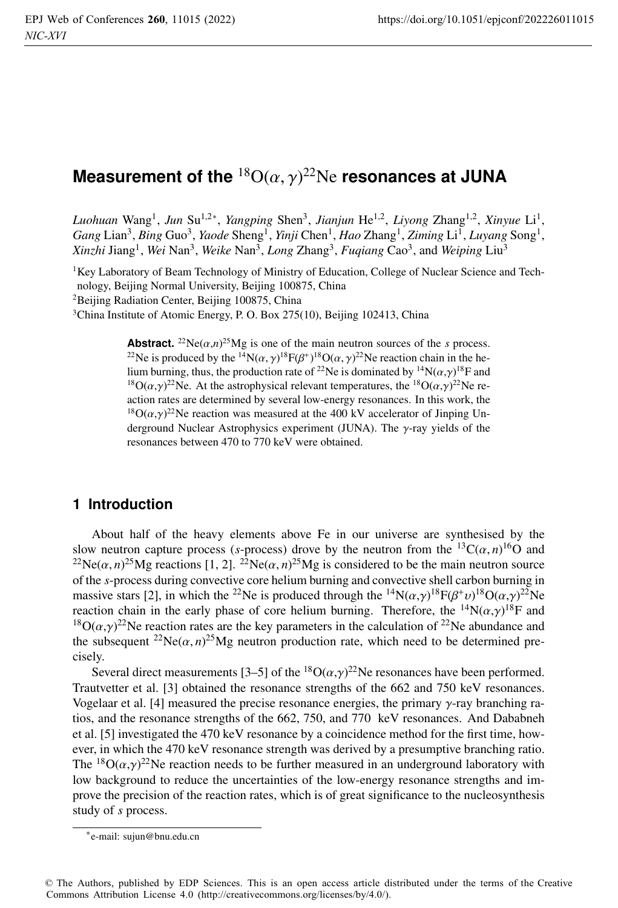# **Measurement of the**  $^{18}{\rm O}(\alpha,\gamma)^{22}{\rm Ne}$  **resonances at JUNA**

*Luohuan* Wang1, *Jun* Su1,2∗, *Yangping* Shen3, *Jianjun* He1,2, *Liyong* Zhang1,2, *Xinyue* Li1, *Gang* Lian3, *Bing* Guo3, *Yaode* Sheng1, *Yinji* Chen1, *Hao* Zhang1, *Ziming* Li1, *Luyang* Song1, *Xinzhi* Jiang1, *Wei* Nan3, *Weike* Nan3, *Long* Zhang3, *Fuqiang* Cao3, and *Weiping* Liu3

<sup>1</sup>Key Laboratory of Beam Technology of Ministry of Education, College of Nuclear Science and Technology, Beijing Normal University, Beijing 100875, China

<sup>2</sup>Beijing Radiation Center, Beijing 100875, China

<sup>3</sup>China Institute of Atomic Energy, P. O. Box 275(10), Beijing 102413, China

**Abstract.** <sup>22</sup>Ne( $\alpha$ ,*n*)<sup>25</sup>Mg is one of the main neutron sources of the *s* process. <sup>22</sup>Ne is produced by the <sup>14</sup>N( $\alpha$ ,  $\gamma$ )<sup>18</sup>F( $\beta$ <sup>+</sup>)<sup>18</sup>O( $\alpha$ ,  $\gamma$ )<sup>22</sup>Ne reaction chain in the helium burning, thus, the production rate of <sup>22</sup>Ne is dominated by <sup>14</sup>N( $\alpha$ , $\gamma$ )<sup>18</sup>F and <sup>18</sup>O( $\alpha$ , $\gamma$ )<sup>22</sup>Ne. At the astrophysical relevant temperatures, the <sup>18</sup>O( $\alpha$ , $\gamma$ )<sup>22</sup>Ne reaction rates are determined by several low-energy resonances. In this work, the <sup>18</sup>O( $\alpha$ , $\gamma$ )<sup>22</sup>Ne reaction was measured at the 400 kV accelerator of Jinping Underground Nuclear Astrophysics experiment (JUNA). The γ-ray yields of the resonances between 470 to 770 keV were obtained.

#### **1 Introduction**

About half of the heavy elements above Fe in our universe are synthesised by the slow neutron capture process (*s*-process) drove by the neutron from the  ${}^{13}C(\alpha, n){}^{16}O$  and <sup>22</sup>Ne( $\alpha$ , *n*)<sup>25</sup>Mg reactions [1, 2]. <sup>22</sup>Ne( $\alpha$ , *n*)<sup>25</sup>Mg is considered to be the main neutron source of the *s*-process during convective core helium burning and convective shell carbon burning in massive stars [2], in which the <sup>22</sup>Ne is produced through the <sup>14</sup>N( $\alpha$ , $\gamma$ )<sup>18</sup>F( $\beta^+ \nu$ )<sup>18</sup>O( $\alpha$ , $\gamma$ )<sup>22</sup>Ne reaction chain in the early phase of core helium burning. Therefore, the  ${}^{14}N(\alpha,\gamma){}^{18}F$  and <sup>18</sup>O( $\alpha$ , $\gamma$ )<sup>22</sup>Ne reaction rates are the key parameters in the calculation of <sup>22</sup>Ne abundance and the subsequent <sup>22</sup>Ne( $\alpha$ ,  $n$ )<sup>25</sup>Mg neutron production rate, which need to be determined precisely.

Several direct measurements [3–5] of the  ${}^{18}O(\alpha, \gamma)^{22}$ Ne resonances have been performed. Trautvetter et al. [3] obtained the resonance strengths of the 662 and 750 keV resonances. Vogelaar et al. [4] measured the precise resonance energies, the primary γ-ray branching ratios, and the resonance strengths of the 662, 750, and 770 keV resonances. And Dababneh et al. [5] investigated the 470 keV resonance by a coincidence method for the first time, however, in which the 470 keV resonance strength was derived by a presumptive branching ratio. The  ${}^{18}O(\alpha, \gamma)^{22}$ Ne reaction needs to be further measured in an underground laboratory with low background to reduce the uncertainties of the low-energy resonance strengths and improve the precision of the reaction rates, which is of great significance to the nucleosynthesis study of *s* process.

<sup>∗</sup>e-mail: sujun@bnu.edu.cn

<sup>©</sup> The Authors, published by EDP Sciences. This is an open access article distributed under the terms of the Creative Commons Attribution License 4.0 (http://creativecommons.org/licenses/by/4.0/).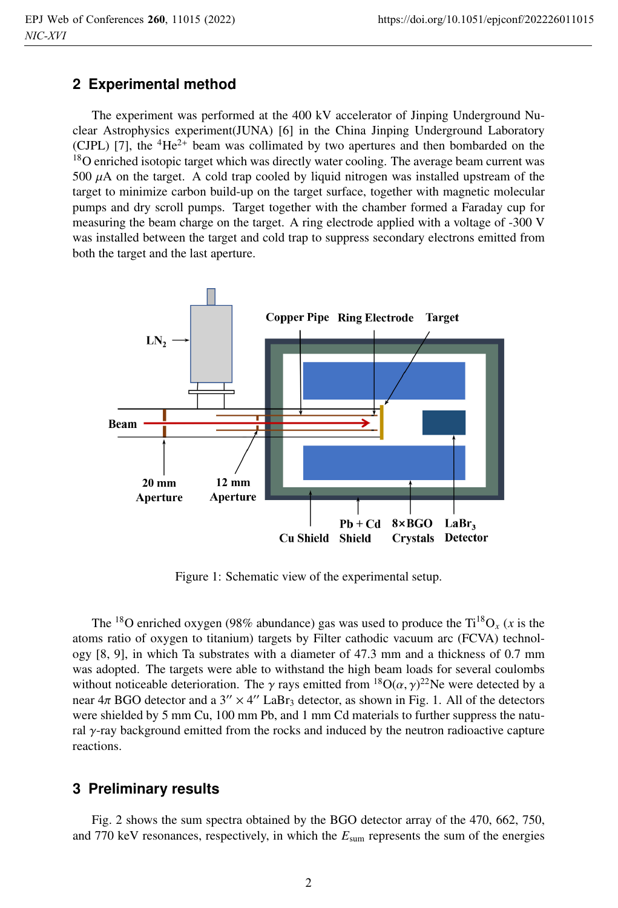## **2 Experimental method**

The experiment was performed at the 400 kV accelerator of Jinping Underground Nuclear Astrophysics experiment(JUNA) [6] in the China Jinping Underground Laboratory (CJPL) [7], the  ${}^{4}He^{2+}$  beam was collimated by two apertures and then bombarded on the <sup>18</sup>O enriched isotopic target which was directly water cooling. The average beam current was 500  $\mu$ A on the target. A cold trap cooled by liquid nitrogen was installed upstream of the target to minimize carbon build-up on the target surface, together with magnetic molecular pumps and dry scroll pumps. Target together with the chamber formed a Faraday cup for measuring the beam charge on the target. A ring electrode applied with a voltage of -300 V was installed between the target and cold trap to suppress secondary electrons emitted from both the target and the last aperture.



Figure 1: Schematic view of the experimental setup.

The <sup>18</sup>O enriched oxygen (98% abundance) gas was used to produce the  $Ti^{18}O_x$  (*x* is the atoms ratio of oxygen to titanium) targets by Filter cathodic vacuum arc (FCVA) technology [8, 9], in which Ta substrates with a diameter of 47.3 mm and a thickness of 0.7 mm was adopted. The targets were able to withstand the high beam loads for several coulombs without noticeable deterioration. The  $\gamma$  rays emitted from  ${}^{18}O(\alpha, \gamma)^{22}$ Ne were detected by a near  $4\pi$  BGO detector and a  $3'' \times 4''$  LaBr<sub>3</sub> detector, as shown in Fig. 1. All of the detectors were shielded by 5 mm Cu, 100 mm Pb, and 1 mm Cd materials to further suppress the natural  $\gamma$ -ray background emitted from the rocks and induced by the neutron radioactive capture reactions.

## **3 Preliminary results**

Fig. 2 shows the sum spectra obtained by the BGO detector array of the 470, 662, 750, and 770 keV resonances, respectively, in which the *E*sum represents the sum of the energies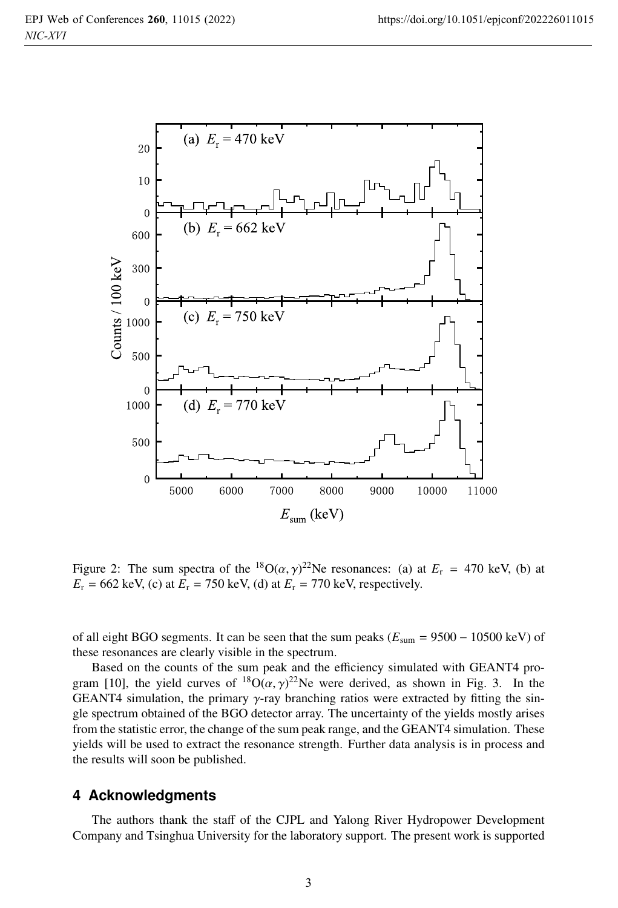

Figure 2: The sum spectra of the <sup>18</sup>O( $\alpha$ ,  $\gamma$ )<sup>22</sup>Ne resonances: (a) at  $E_r = 470$  keV, (b) at  $E_r = 662 \text{ keV}$ , (c) at  $E_r = 750 \text{ keV}$ , (d) at  $E_r = 770 \text{ keV}$ , respectively.

of all eight BGO segments. It can be seen that the sum peaks  $(E_{sum} = 9500 - 10500 \text{ keV})$  of these resonances are clearly visible in the spectrum.

Based on the counts of the sum peak and the efficiency simulated with GEANT4 program [10], the yield curves of  ${}^{18}O(\alpha, \gamma)^{22}$ Ne were derived, as shown in Fig. 3. In the GEANT4 simulation, the primary  $\gamma$ -ray branching ratios were extracted by fitting the single spectrum obtained of the BGO detector array. The uncertainty of the yields mostly arises from the statistic error, the change of the sum peak range, and the GEANT4 simulation. These yields will be used to extract the resonance strength. Further data analysis is in process and the results will soon be published.

#### **4 Acknowledgments**

The authors thank the staff of the CJPL and Yalong River Hydropower Development Company and Tsinghua University for the laboratory support. The present work is supported